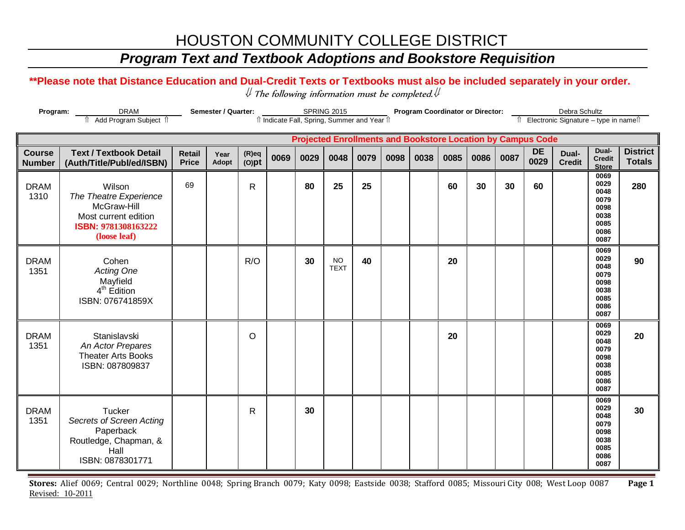# HOUSTON COMMUNITY COLLEGE DISTRICT

## *Program Text and Textbook Adoptions and Bookstore Requisition*

#### **\*\*Please note that Distance Education and Dual-Credit Texts or Textbooks must also be included separately in your order.**

 $\mathcal Y$  The following information must be completed.  $\mathcal Y$ 

| Program:                       | Semester / Quarter:<br><b>SPRING 2015</b><br>îl Indicate Fall, Spring, Summer and Year îl                      |                               |               |                      |      |      |                          |      |      | <b>Program Coordinator or Director:</b> |                                                                    | Debra Schultz<br>Îl Electronic Signature - type in nameîl |      |                   |                        |                                                                      |                                  |
|--------------------------------|----------------------------------------------------------------------------------------------------------------|-------------------------------|---------------|----------------------|------|------|--------------------------|------|------|-----------------------------------------|--------------------------------------------------------------------|-----------------------------------------------------------|------|-------------------|------------------------|----------------------------------------------------------------------|----------------------------------|
|                                |                                                                                                                |                               |               |                      |      |      |                          |      |      |                                         | <b>Projected Enrollments and Bookstore Location by Campus Code</b> |                                                           |      |                   |                        |                                                                      |                                  |
| <b>Course</b><br><b>Number</b> | <b>Text / Textbook Detail</b><br>(Auth/Title/Publ/ed/ISBN)                                                     | <b>Retail</b><br><b>Price</b> | Year<br>Adopt | $(R)$ eq<br>$(O)$ pt | 0069 | 0029 | 0048                     | 0079 | 0098 | 0038                                    | 0085                                                               | 0086                                                      | 0087 | <b>DE</b><br>0029 | Dual-<br><b>Credit</b> | Dual-<br><b>Credit</b><br><b>Store</b>                               | <b>District</b><br><b>Totals</b> |
| <b>DRAM</b><br>1310            | Wilson<br>The Theatre Experience<br>McGraw-Hill<br>Most current edition<br>ISBN: 9781308163222<br>(loose leaf) | 69                            |               | R                    |      | 80   | 25                       | 25   |      |                                         | 60                                                                 | 30                                                        | 30   | 60                |                        | 0069<br>0029<br>0048<br>0079<br>0098<br>0038<br>0085<br>0086<br>0087 | 280                              |
| <b>DRAM</b><br>1351            | Cohen<br><b>Acting One</b><br>Mayfield<br>$4th$ Edition<br>ISBN: 076741859X                                    |                               |               | R/O                  |      | 30   | <b>NO</b><br><b>TEXT</b> | 40   |      |                                         | 20                                                                 |                                                           |      |                   |                        | 0069<br>0029<br>0048<br>0079<br>0098<br>0038<br>0085<br>0086<br>0087 | 90                               |
| <b>DRAM</b><br>1351            | Stanislavski<br>An Actor Prepares<br><b>Theater Arts Books</b><br>ISBN: 087809837                              |                               |               | O                    |      |      |                          |      |      |                                         | 20                                                                 |                                                           |      |                   |                        | 0069<br>0029<br>0048<br>0079<br>0098<br>0038<br>0085<br>0086<br>0087 | 20                               |
| <b>DRAM</b><br>1351            | Tucker<br><b>Secrets of Screen Acting</b><br>Paperback<br>Routledge, Chapman, &<br>Hall<br>ISBN: 0878301771    |                               |               | R                    |      | 30   |                          |      |      |                                         |                                                                    |                                                           |      |                   |                        | 0069<br>0029<br>0048<br>0079<br>0098<br>0038<br>0085<br>0086<br>0087 | 30                               |

**Stores:** Alief 0069; Central 0029; Northline 0048; Spring Branch 0079; Katy 0098; Eastside 0038; Stafford 0085; Missouri City 008; West Loop 0087 **Page 1** Revised: 10-2011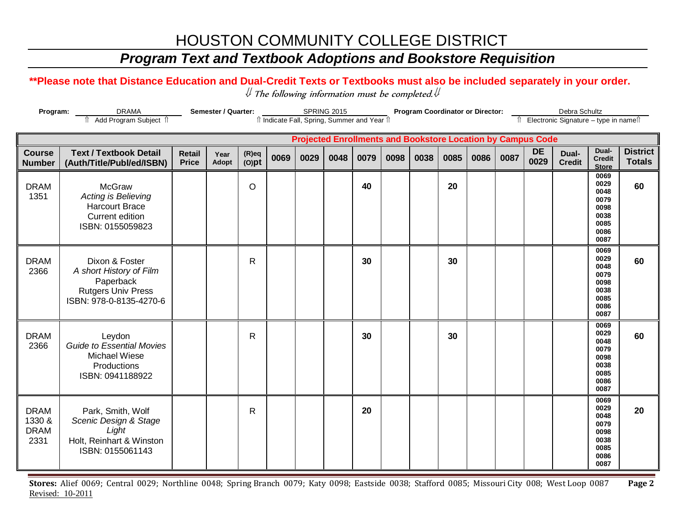# HOUSTON COMMUNITY COLLEGE DISTRICT

## *Program Text and Textbook Adoptions and Bookstore Requisition*

#### **\*\*Please note that Distance Education and Dual-Credit Texts or Textbooks must also be included separately in your order.**

 $\mathcal Y$  The following information must be completed.  $\mathcal Y$ 

| <b>DRAMA</b><br>Program:                     |                                                                                                                |                               | Semester / Quarter: |                      |      | <b>SPRING 2015</b><br>îl Indicate Fall, Spring, Summer and Year îl |      |      |      | <b>Program Coordinator or Director:</b> |      |      | Debra Schultz<br>Îl Electronic Signature - type in nameîl          |                   |                        |                                                                      |                                  |
|----------------------------------------------|----------------------------------------------------------------------------------------------------------------|-------------------------------|---------------------|----------------------|------|--------------------------------------------------------------------|------|------|------|-----------------------------------------|------|------|--------------------------------------------------------------------|-------------------|------------------------|----------------------------------------------------------------------|----------------------------------|
|                                              | Add Program Subject 1                                                                                          |                               |                     |                      |      |                                                                    |      |      |      |                                         |      |      |                                                                    |                   |                        |                                                                      |                                  |
|                                              |                                                                                                                |                               |                     |                      |      |                                                                    |      |      |      |                                         |      |      | <b>Projected Enrollments and Bookstore Location by Campus Code</b> |                   |                        |                                                                      |                                  |
| <b>Course</b><br><b>Number</b>               | <b>Text / Textbook Detail</b><br>(Auth/Title/Publ/ed/ISBN)                                                     | <b>Retail</b><br><b>Price</b> | Year<br>Adopt       | $(R)$ eq<br>$(O)$ pt | 0069 | 0029                                                               | 0048 | 0079 | 0098 | 0038                                    | 0085 | 0086 | 0087                                                               | <b>DE</b><br>0029 | Dual-<br><b>Credit</b> | Dual-<br><b>Credit</b><br><b>Store</b>                               | <b>District</b><br><b>Totals</b> |
| <b>DRAM</b><br>1351                          | <b>McGraw</b><br>Acting is Believing<br><b>Harcourt Brace</b><br>Current edition<br>ISBN: 0155059823           |                               |                     | $\circ$              |      |                                                                    |      | 40   |      |                                         | 20   |      |                                                                    |                   |                        | 0069<br>0029<br>0048<br>0079<br>0098<br>0038<br>0085<br>0086<br>0087 | 60                               |
| <b>DRAM</b><br>2366                          | Dixon & Foster<br>A short History of Film<br>Paperback<br><b>Rutgers Univ Press</b><br>ISBN: 978-0-8135-4270-6 |                               |                     | R                    |      |                                                                    |      | 30   |      |                                         | 30   |      |                                                                    |                   |                        | 0069<br>0029<br>0048<br>0079<br>0098<br>0038<br>0085<br>0086<br>0087 | 60                               |
| <b>DRAM</b><br>2366                          | Leydon<br><b>Guide to Essential Movies</b><br>Michael Wiese<br>Productions<br>ISBN: 0941188922                 |                               |                     | R                    |      |                                                                    |      | 30   |      |                                         | 30   |      |                                                                    |                   |                        | 0069<br>0029<br>0048<br>0079<br>0098<br>0038<br>0085<br>0086<br>0087 | 60                               |
| <b>DRAM</b><br>1330 &<br><b>DRAM</b><br>2331 | Park, Smith, Wolf<br>Scenic Design & Stage<br>Light<br>Holt, Reinhart & Winston<br>ISBN: 0155061143            |                               |                     | R                    |      |                                                                    |      | 20   |      |                                         |      |      |                                                                    |                   |                        | 0069<br>0029<br>0048<br>0079<br>0098<br>0038<br>0085<br>0086<br>0087 | 20                               |

**Stores:** Alief 0069; Central 0029; Northline 0048; Spring Branch 0079; Katy 0098; Eastside 0038; Stafford 0085; Missouri City 008; West Loop 0087 **Page 2** Revised: 10-2011